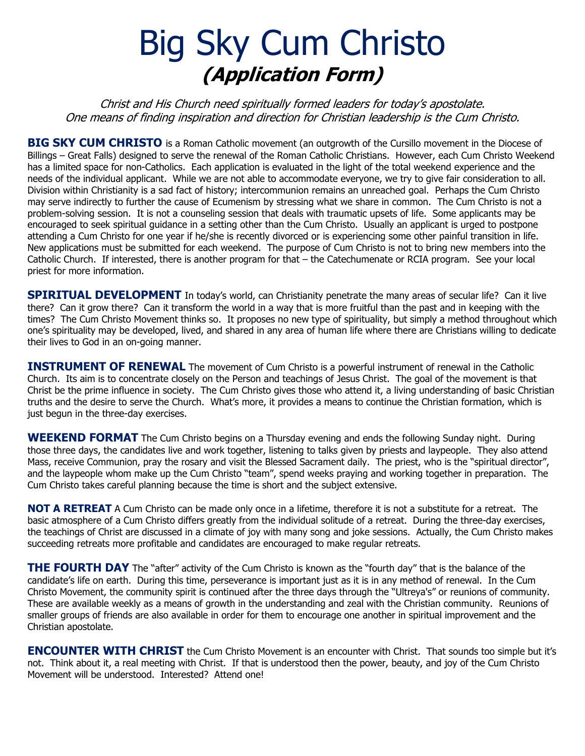# Big Sky Cum Christo **(Application Form)**

Christ and His Church need spiritually formed leaders for today's apostolate. One means of finding inspiration and direction for Christian leadership is the Cum Christo.

**BIG SKY CUM CHRISTO** is a Roman Catholic movement (an outgrowth of the Cursillo movement in the Diocese of Billings – Great Falls) designed to serve the renewal of the Roman Catholic Christians. However, each Cum Christo Weekend has a limited space for non-Catholics. Each application is evaluated in the light of the total weekend experience and the needs of the individual applicant. While we are not able to accommodate everyone, we try to give fair consideration to all. Division within Christianity is a sad fact of history; intercommunion remains an unreached goal. Perhaps the Cum Christo may serve indirectly to further the cause of Ecumenism by stressing what we share in common. The Cum Christo is not a problem-solving session. It is not a counseling session that deals with traumatic upsets of life. Some applicants may be encouraged to seek spiritual guidance in a setting other than the Cum Christo. Usually an applicant is urged to postpone attending a Cum Christo for one year if he/she is recently divorced or is experiencing some other painful transition in life. New applications must be submitted for each weekend. The purpose of Cum Christo is not to bring new members into the Catholic Church. If interested, there is another program for that – the Catechumenate or RCIA program. See your local priest for more information.

**SPIRITUAL DEVELOPMENT** In today's world, can Christianity penetrate the many areas of secular life? Can it live there? Can it grow there? Can it transform the world in a way that is more fruitful than the past and in keeping with the times? The Cum Christo Movement thinks so. It proposes no new type of spirituality, but simply a method throughout which one's spirituality may be developed, lived, and shared in any area of human life where there are Christians willing to dedicate their lives to God in an on-going manner.

**INSTRUMENT OF RENEWAL** The movement of Cum Christo is a powerful instrument of renewal in the Catholic Church. Its aim is to concentrate closely on the Person and teachings of Jesus Christ. The goal of the movement is that Christ be the prime influence in society. The Cum Christo gives those who attend it, a living understanding of basic Christian truths and the desire to serve the Church. What's more, it provides a means to continue the Christian formation, which is just begun in the three-day exercises.

**WEEKEND FORMAT** The Cum Christo begins on a Thursday evening and ends the following Sunday night. During those three days, the candidates live and work together, listening to talks given by priests and laypeople. They also attend Mass, receive Communion, pray the rosary and visit the Blessed Sacrament daily. The priest, who is the "spiritual director", and the laypeople whom make up the Cum Christo "team", spend weeks praying and working together in preparation. The Cum Christo takes careful planning because the time is short and the subject extensive.

**NOT A RETREAT** A Cum Christo can be made only once in a lifetime, therefore it is not a substitute for a retreat. The basic atmosphere of a Cum Christo differs greatly from the individual solitude of a retreat. During the three-day exercises, the teachings of Christ are discussed in a climate of joy with many song and joke sessions. Actually, the Cum Christo makes succeeding retreats more profitable and candidates are encouraged to make regular retreats.

**THE FOURTH DAY** The "after" activity of the Cum Christo is known as the "fourth day" that is the balance of the candidate's life on earth. During this time, perseverance is important just as it is in any method of renewal. In the Cum Christo Movement, the community spirit is continued after the three days through the "Ultreya's" or reunions of community. These are available weekly as a means of growth in the understanding and zeal with the Christian community. Reunions of smaller groups of friends are also available in order for them to encourage one another in spiritual improvement and the Christian apostolate.

**ENCOUNTER WITH CHRIST** the Cum Christo Movement is an encounter with Christ. That sounds too simple but it's not. Think about it, a real meeting with Christ. If that is understood then the power, beauty, and joy of the Cum Christo Movement will be understood. Interested? Attend one!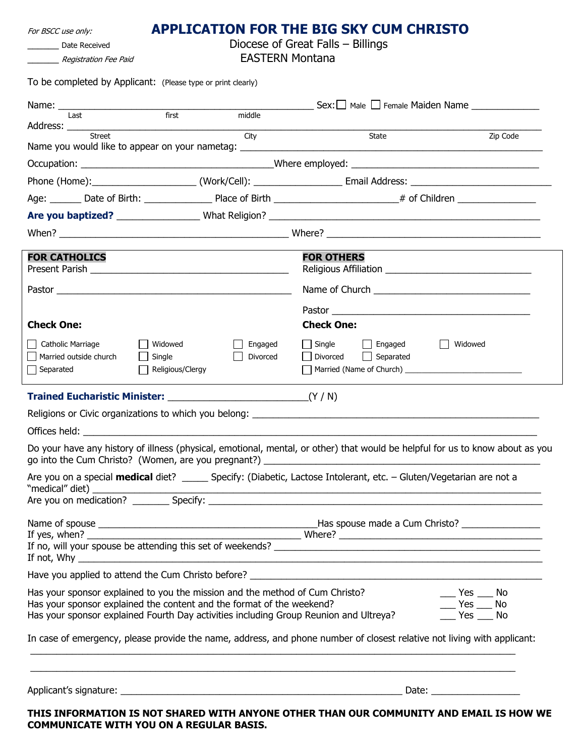| For BSCC use only:                                                                                                                                             |                                   | <b>APPLICATION FOR THE BIG SKY CUM CHRISTO</b>                      |                        |  |
|----------------------------------------------------------------------------------------------------------------------------------------------------------------|-----------------------------------|---------------------------------------------------------------------|------------------------|--|
| Date Received                                                                                                                                                  | Diocese of Great Falls - Billings |                                                                     |                        |  |
| Registration Fee Paid                                                                                                                                          | <b>EASTERN Montana</b>            |                                                                     |                        |  |
| To be completed by Applicant: (Please type or print clearly)                                                                                                   |                                   |                                                                     |                        |  |
|                                                                                                                                                                |                                   |                                                                     |                        |  |
| first<br>Last                                                                                                                                                  | middle                            |                                                                     |                        |  |
| Street                                                                                                                                                         | City                              | State                                                               | Zip Code               |  |
|                                                                                                                                                                |                                   |                                                                     |                        |  |
|                                                                                                                                                                |                                   |                                                                     |                        |  |
|                                                                                                                                                                |                                   |                                                                     |                        |  |
|                                                                                                                                                                |                                   |                                                                     |                        |  |
|                                                                                                                                                                |                                   |                                                                     |                        |  |
| <b>FOR CATHOLICS</b>                                                                                                                                           |                                   | <b>FOR OTHERS</b>                                                   |                        |  |
| Present Parish                                                                                                                                                 |                                   |                                                                     |                        |  |
|                                                                                                                                                                |                                   |                                                                     |                        |  |
|                                                                                                                                                                |                                   |                                                                     |                        |  |
| <b>Check One:</b>                                                                                                                                              |                                   | <b>Check One:</b>                                                   |                        |  |
| Catholic Marriage<br>  Widowed<br>Married outside church<br>$\Box$ Single                                                                                      | Engaged<br>Divorced               | $\Box$ Single<br>Engaged<br>$\perp$<br>Divorced<br>$\Box$ Separated | Widowed                |  |
| $\Box$ Religious/Clergy<br>Separated                                                                                                                           |                                   |                                                                     |                        |  |
|                                                                                                                                                                |                                   |                                                                     |                        |  |
|                                                                                                                                                                |                                   |                                                                     |                        |  |
|                                                                                                                                                                |                                   |                                                                     |                        |  |
| Do your have any history of illness (physical, emotional, mental, or other) that would be helpful for us to know about as you                                  |                                   |                                                                     |                        |  |
|                                                                                                                                                                |                                   |                                                                     |                        |  |
| Are you on a special medical diet? ______ Specify: (Diabetic, Lactose Intolerant, etc. - Gluten/Vegetarian are not a                                           |                                   |                                                                     |                        |  |
|                                                                                                                                                                |                                   |                                                                     |                        |  |
|                                                                                                                                                                |                                   |                                                                     |                        |  |
|                                                                                                                                                                |                                   |                                                                     |                        |  |
| If not, Why $\overline{\phantom{a}}$                                                                                                                           |                                   |                                                                     |                        |  |
|                                                                                                                                                                |                                   |                                                                     |                        |  |
| Has your sponsor explained to you the mission and the method of Cum Christo?                                                                                   |                                   |                                                                     | $Yes \_\_No$           |  |
| Has your sponsor explained the content and the format of the weekend?<br>Has your sponsor explained Fourth Day activities including Group Reunion and Ultreya? |                                   |                                                                     | Yes<br>No<br>Yes<br>No |  |
| In case of emergency, please provide the name, address, and phone number of closest relative not living with applicant:                                        |                                   |                                                                     |                        |  |
|                                                                                                                                                                |                                   |                                                                     |                        |  |

Applicant's signature: \_\_\_\_\_\_\_\_\_\_\_\_\_\_\_\_\_\_\_\_\_\_\_\_\_\_\_\_\_\_\_\_\_\_\_\_\_\_\_\_\_\_\_\_\_\_\_\_\_\_\_\_\_\_ Date: \_\_\_\_\_\_\_\_\_\_\_\_\_\_\_\_\_

**THIS INFORMATION IS NOT SHARED WITH ANYONE OTHER THAN OUR COMMUNITY AND EMAIL IS HOW WE COMMUNICATE WITH YOU ON A REGULAR BASIS.**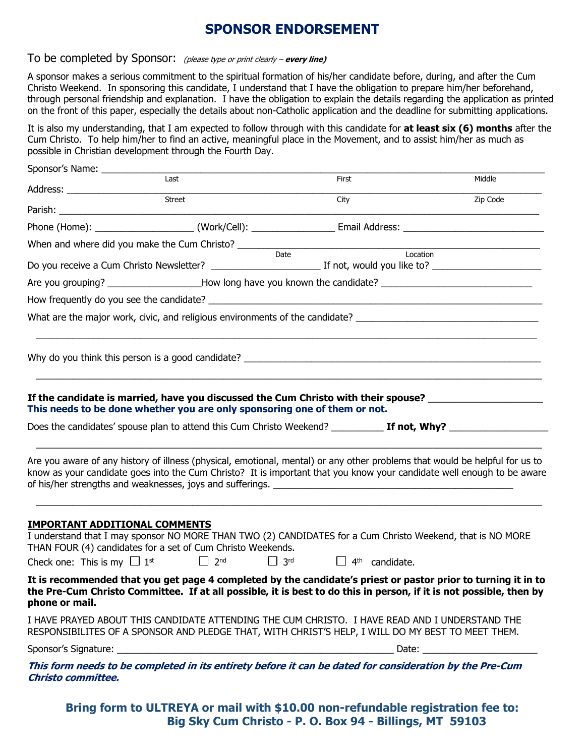## **SPONSOR ENDORSEMENT**

#### To be completed by Sponsor: (please type or print clearly – **every line)**

A sponsor makes a serious commitment to the spiritual formation of his/her candidate before, during, and after the Cum Christo Weekend. In sponsoring this candidate, I understand that I have the obligation to prepare him/her beforehand, through personal friendship and explanation. I have the obligation to explain the details regarding the application as printed on the front of this paper, especially the details about non-Catholic application and the deadline for submitting applications.

It is also my understanding, that I am expected to follow through with this candidate for **at least six (6) months** after the Cum Christo. To help him/her to find an active, meaningful place in the Movement, and to assist him/her as much as possible in Christian development through the Fourth Day.

| Sponsor's Name: ____________         |                                                                                            |                                                                                                                                                                                                                                               |          |
|--------------------------------------|--------------------------------------------------------------------------------------------|-----------------------------------------------------------------------------------------------------------------------------------------------------------------------------------------------------------------------------------------------|----------|
|                                      | Last                                                                                       | First                                                                                                                                                                                                                                         | Middle   |
|                                      |                                                                                            | City                                                                                                                                                                                                                                          | Zip Code |
|                                      |                                                                                            | Phone (Home): _____________________(Work/Cell): ______________________Email Address: _________________________                                                                                                                                |          |
|                                      |                                                                                            |                                                                                                                                                                                                                                               |          |
|                                      |                                                                                            |                                                                                                                                                                                                                                               |          |
|                                      |                                                                                            | Are you grouping? _____________________How long have you known the candidate? ________________________________                                                                                                                                |          |
|                                      |                                                                                            |                                                                                                                                                                                                                                               |          |
|                                      |                                                                                            | What are the major work, civic, and religious environments of the candidate? _________________________________                                                                                                                                |          |
|                                      |                                                                                            |                                                                                                                                                                                                                                               |          |
|                                      |                                                                                            |                                                                                                                                                                                                                                               |          |
|                                      |                                                                                            | Does the candidates' spouse plan to attend this Cum Christo Weekend? ___________ If not, Why? ________________<br>Are you aware of any history of illness (physical, emotional, mental) or any other problems that would be helpful for us to |          |
|                                      |                                                                                            | know as your candidate goes into the Cum Christo? It is important that you know your candidate well enough to be aware                                                                                                                        |          |
| <b>IMPORTANT ADDITIONAL COMMENTS</b> | THAN FOUR (4) candidates for a set of Cum Christo Weekends.                                | I understand that I may sponsor NO MORE THAN TWO (2) CANDIDATES for a Cum Christo Weekend, that is NO MORE                                                                                                                                    |          |
|                                      | Check one: This is my $\Box$ 1 <sup>st</sup> $\Box$ 2 <sup>nd</sup> $\Box$ 3 <sup>rd</sup> | $\Box$ 4 <sup>th</sup> candidate.                                                                                                                                                                                                             |          |
| phone or mail.                       |                                                                                            | It is recommended that you get page 4 completed by the candidate's priest or pastor prior to turning it in to<br>the Pre-Cum Christo Committee. If at all possible, it is best to do this in person, if it is not possible, then by           |          |
|                                      |                                                                                            | I HAVE PRAYED ABOUT THIS CANDIDATE ATTENDING THE CUM CHRISTO. I HAVE READ AND I UNDERSTAND THE<br>RESPONSIBILITES OF A SPONSOR AND PLEDGE THAT, WITH CHRIST'S HELP, I WILL DO MY BEST TO MEET THEM.                                           |          |
|                                      |                                                                                            |                                                                                                                                                                                                                                               |          |
| Christo committee.                   |                                                                                            | This form needs to be completed in its entirety before it can be dated for consideration by the Pre-Cum                                                                                                                                       |          |

**Bring form to ULTREYA or mail with \$10.00 non-refundable registration fee to: Big Sky Cum Christo - P. O. Box 94 - Billings, MT 59103**